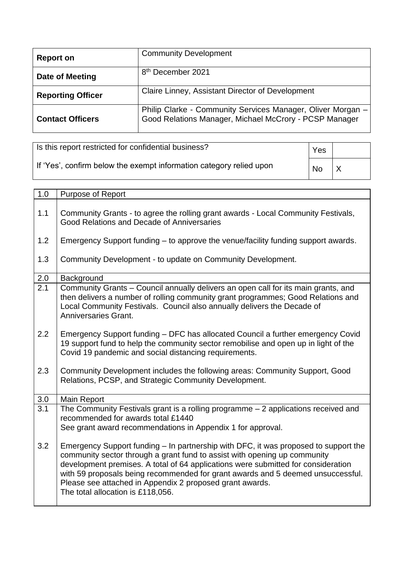| <b>Report on</b>         | <b>Community Development</b>                                                                                          |
|--------------------------|-----------------------------------------------------------------------------------------------------------------------|
| Date of Meeting          | 8 <sup>th</sup> December 2021                                                                                         |
| <b>Reporting Officer</b> | Claire Linney, Assistant Director of Development                                                                      |
| <b>Contact Officers</b>  | Philip Clarke - Community Services Manager, Oliver Morgan -<br>Good Relations Manager, Michael McCrory - PCSP Manager |

| Is this report restricted for confidential business?                | Yes       |  |
|---------------------------------------------------------------------|-----------|--|
| If 'Yes', confirm below the exempt information category relied upon | <b>No</b> |  |

| 1.0              | Purpose of Report                                                                                                                                                                                                                                                                                                                                                                                                                         |
|------------------|-------------------------------------------------------------------------------------------------------------------------------------------------------------------------------------------------------------------------------------------------------------------------------------------------------------------------------------------------------------------------------------------------------------------------------------------|
| 1.1              | Community Grants - to agree the rolling grant awards - Local Community Festivals,<br>Good Relations and Decade of Anniversaries                                                                                                                                                                                                                                                                                                           |
| 1.2              | Emergency Support funding – to approve the venue/facility funding support awards.                                                                                                                                                                                                                                                                                                                                                         |
| 1.3              | Community Development - to update on Community Development.                                                                                                                                                                                                                                                                                                                                                                               |
| 2.0              | Background                                                                                                                                                                                                                                                                                                                                                                                                                                |
| 2.1              | Community Grants - Council annually delivers an open call for its main grants, and<br>then delivers a number of rolling community grant programmes; Good Relations and<br>Local Community Festivals. Council also annually delivers the Decade of<br>Anniversaries Grant.                                                                                                                                                                 |
| 2.2              | Emergency Support funding - DFC has allocated Council a further emergency Covid<br>19 support fund to help the community sector remobilise and open up in light of the<br>Covid 19 pandemic and social distancing requirements.                                                                                                                                                                                                           |
| 2.3              | Community Development includes the following areas: Community Support, Good<br>Relations, PCSP, and Strategic Community Development.                                                                                                                                                                                                                                                                                                      |
| 3.0              | Main Report                                                                                                                                                                                                                                                                                                                                                                                                                               |
| $\overline{3}.1$ | The Community Festivals grant is a rolling programme $-2$ applications received and<br>recommended for awards total £1440<br>See grant award recommendations in Appendix 1 for approval.                                                                                                                                                                                                                                                  |
| 3.2              | Emergency Support funding – In partnership with DFC, it was proposed to support the<br>community sector through a grant fund to assist with opening up community<br>development premises. A total of 64 applications were submitted for consideration<br>with 59 proposals being recommended for grant awards and 5 deemed unsuccessful.<br>Please see attached in Appendix 2 proposed grant awards.<br>The total allocation is £118,056. |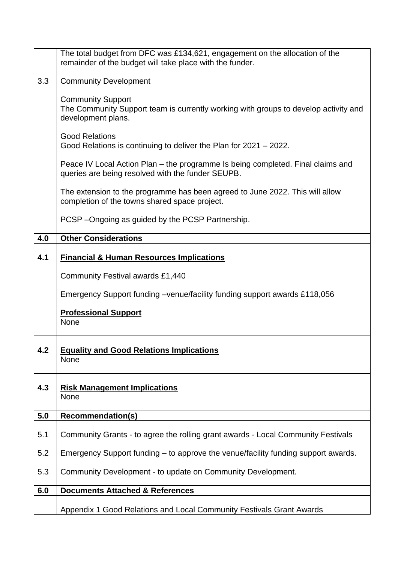|     | The total budget from DFC was £134,621, engagement on the allocation of the                                                           |
|-----|---------------------------------------------------------------------------------------------------------------------------------------|
|     | remainder of the budget will take place with the funder.                                                                              |
| 3.3 | <b>Community Development</b>                                                                                                          |
|     | <b>Community Support</b><br>The Community Support team is currently working with groups to develop activity and<br>development plans. |
|     | <b>Good Relations</b><br>Good Relations is continuing to deliver the Plan for 2021 – 2022.                                            |
|     | Peace IV Local Action Plan – the programme Is being completed. Final claims and<br>queries are being resolved with the funder SEUPB.  |
|     | The extension to the programme has been agreed to June 2022. This will allow<br>completion of the towns shared space project.         |
|     | PCSP-Ongoing as guided by the PCSP Partnership.                                                                                       |
| 4.0 | <b>Other Considerations</b>                                                                                                           |
| 4.1 | <b>Financial &amp; Human Resources Implications</b>                                                                                   |
|     | <b>Community Festival awards £1,440</b>                                                                                               |
|     | Emergency Support funding –venue/facility funding support awards £118,056                                                             |
|     | <b>Professional Support</b><br>None                                                                                                   |
| 4.2 | <b>Equality and Good Relations Implications</b><br>None                                                                               |
| 4.3 | <b>Risk Management Implications</b><br>None                                                                                           |
| 5.0 | <b>Recommendation(s)</b>                                                                                                              |
| 5.1 | Community Grants - to agree the rolling grant awards - Local Community Festivals                                                      |
| 5.2 | Emergency Support funding – to approve the venue/facility funding support awards.                                                     |
| 5.3 | Community Development - to update on Community Development.                                                                           |
| 6.0 | <b>Documents Attached &amp; References</b>                                                                                            |
|     | Appendix 1 Good Relations and Local Community Festivals Grant Awards                                                                  |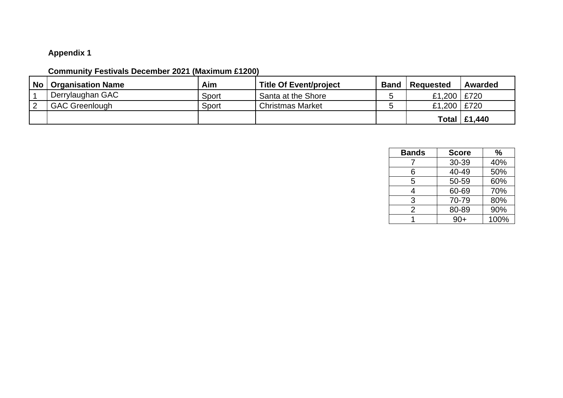## **Appendix 1**

## **Community Festivals December 2021 (Maximum £1200)**

| <b>No</b> | <b>Organisation Name</b> | Aim   | <b>Title Of Event/project</b> | <b>Band</b> | Requested     | Awarded              |
|-----------|--------------------------|-------|-------------------------------|-------------|---------------|----------------------|
|           | ' Derrylaughan GAC       | Sport | Santa at the Shore            |             | £1,200 £720   |                      |
|           | <b>GAC Greenlough</b>    | Sport | <b>Christmas Market</b>       |             | £1,200   £720 |                      |
|           |                          |       |                               |             |               | Total $\vert$ £1,440 |

| <b>Bands</b> | <b>Score</b> | %    |
|--------------|--------------|------|
|              | 30-39        | 40%  |
| 6            | 40-49        | 50%  |
| 5            | 50-59        | 60%  |
| 4            | 60-69        | 70%  |
| 3            | 70-79        | 80%  |
| 2            | 80-89        | 90%  |
|              | $90+$        | 100% |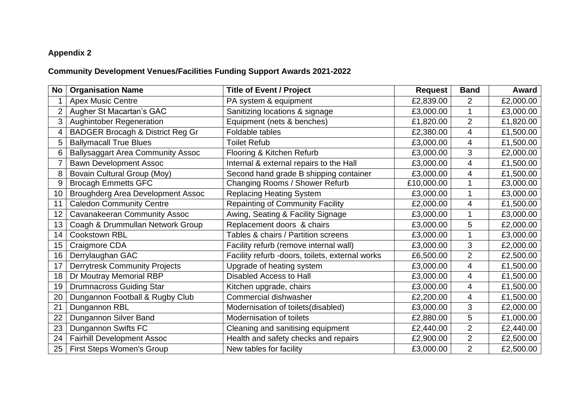## **Appendix 2**

## **Community Development Venues/Facilities Funding Support Awards 2021-2022**

| No             | <b>Organisation Name</b>                    | <b>Title of Event / Project</b>                 | <b>Request</b> | <b>Band</b>    | Award     |
|----------------|---------------------------------------------|-------------------------------------------------|----------------|----------------|-----------|
|                | <b>Apex Music Centre</b>                    | PA system & equipment                           | £2,839.00      | $\overline{2}$ | £2,000.00 |
| $\overline{2}$ | Augher St Macartan's GAC                    | Sanitizing locations & signage                  | £3,000.00      | $\mathbf 1$    | £3,000.00 |
| 3              | <b>Aughintober Regeneration</b>             | Equipment (nets & benches)                      | £1,820.00      | $\overline{2}$ | £1,820.00 |
|                | <b>BADGER Brocagh &amp; District Reg Gr</b> | Foldable tables                                 | £2,380.00      | 4              | £1,500.00 |
| 5              | <b>Ballymacall True Blues</b>               | <b>Toilet Refub</b>                             | £3,000.00      | 4              | £1,500.00 |
| 6              | <b>Ballysaggart Area Community Assoc</b>    | Flooring & Kitchen Refurb                       | £3,000.00      | 3              | £2,000.00 |
|                | <b>Bawn Development Assoc</b>               | Internal & external repairs to the Hall         | £3,000.00      | $\overline{4}$ | £1,500.00 |
| 8              | Bovain Cultural Group (Moy)                 | Second hand grade B shipping container          | £3,000.00      | 4              | £1,500.00 |
| 9              | <b>Brocagh Emmetts GFC</b>                  | Changing Rooms / Shower Refurb                  | £10,000.00     | 1              | £3,000.00 |
| 10             | <b>Broughderg Area Development Assoc</b>    | <b>Replacing Heating System</b>                 | £3,000.00      | 1              | £3,000.00 |
| 11             | <b>Caledon Community Centre</b>             | <b>Repainting of Community Facility</b>         | £2,000.00      | 4              | £1,500.00 |
| 12             | <b>Cavanakeeran Community Assoc</b>         | Awing, Seating & Facility Signage               | £3,000.00      | $\mathbf 1$    | £3,000.00 |
| 13             | Coagh & Drummullan Network Group            | Replacement doors & chairs                      | £3,000.00      | 5              | £2,000.00 |
| 14             | <b>Cookstown RBL</b>                        | Tables & chairs / Partition screens             | £3,000.00      | $\mathbf 1$    | £3,000.00 |
| 15             | Craigmore CDA                               | Facility refurb (remove internal wall)          | £3,000.00      | 3              | £2,000.00 |
| 16             | Derrylaughan GAC                            | Facility refurb -doors, toilets, external works | £6,500.00      | $\overline{2}$ | £2,500.00 |
| 17             | <b>Derrytresk Community Projects</b>        | Upgrade of heating system                       | £3,000.00      | 4              | £1,500.00 |
| 18             | Dr Moutray Memorial RBP                     | <b>Disabled Access to Hall</b>                  | £3,000.00      | 4              | £1,500.00 |
| 19             | <b>Drumnacross Guiding Star</b>             | Kitchen upgrade, chairs                         | £3,000.00      | 4              | £1,500.00 |
| 20             | Dungannon Football & Rugby Club             | Commercial dishwasher                           | £2,200.00      | $\overline{4}$ | £1,500.00 |
| 21             | Dungannon RBL                               | Modernisation of toilets(disabled)              | £3,000.00      | 3              | £2,000.00 |
| 22             | Dungannon Silver Band                       | Modernisation of toilets                        | £2,880.00      | 5              | £1,000.00 |
| 23             | Dungannon Swifts FC                         | Cleaning and sanitising equipment               | £2,440.00      | $\overline{2}$ | £2,440.00 |
| 24             | <b>Fairhill Development Assoc</b>           | Health and safety checks and repairs            | £2,900.00      | $\overline{2}$ | £2,500.00 |
| 25             | <b>First Steps Women's Group</b>            | New tables for facility                         | £3,000.00      | $\overline{2}$ | £2,500.00 |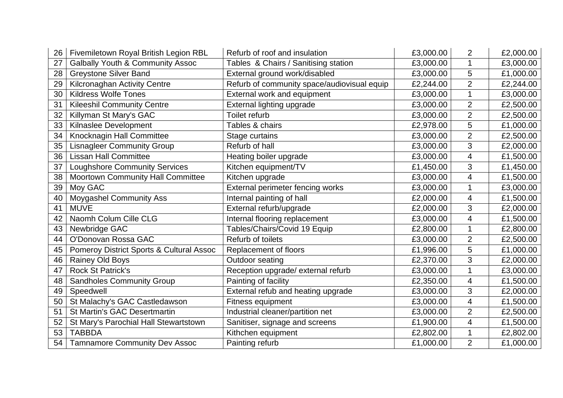| 26 | Fivemiletown Royal British Legion RBL       | Refurb of roof and insulation               | £3,000.00 | $\overline{2}$          | £2,000.00 |
|----|---------------------------------------------|---------------------------------------------|-----------|-------------------------|-----------|
| 27 | <b>Galbally Youth &amp; Community Assoc</b> | Tables & Chairs / Sanitising station        | £3,000.00 | $\mathbf 1$             | £3,000.00 |
| 28 | <b>Greystone Silver Band</b>                | External ground work/disabled               | £3,000.00 | 5                       | £1,000.00 |
| 29 | <b>Kilcronaghan Activity Centre</b>         | Refurb of community space/audiovisual equip | £2,244.00 | $\overline{c}$          | £2,244.00 |
| 30 | <b>Kildress Wolfe Tones</b>                 | External work and equipment                 | £3,000.00 | $\mathbf 1$             | £3,000.00 |
| 31 | <b>Kileeshil Community Centre</b>           | External lighting upgrade                   | £3,000.00 | $\overline{2}$          | £2,500.00 |
| 32 | Killyman St Mary's GAC                      | <b>Toilet refurb</b>                        | £3,000.00 | $\overline{2}$          | £2,500.00 |
| 33 | Kilnaslee Development                       | Tables & chairs                             | £2,978.00 | 5                       | £1,000.00 |
| 34 | Knocknagin Hall Committee                   | Stage curtains                              | £3,000.00 | $\overline{2}$          | £2,500.00 |
| 35 | <b>Lisnagleer Community Group</b>           | Refurb of hall                              | £3,000.00 | 3                       | £2,000.00 |
| 36 | <b>Lissan Hall Committee</b>                | Heating boiler upgrade                      | £3,000.00 | $\overline{\mathbf{4}}$ | £1,500.00 |
| 37 | <b>Loughshore Community Services</b>        | Kitchen equipment/TV                        | £1,450.00 | 3                       | £1,450.00 |
| 38 | Moortown Community Hall Committee           | Kitchen upgrade                             | £3,000.00 | 4                       | £1,500.00 |
| 39 | Moy GAC                                     | External perimeter fencing works            | £3,000.00 | 1                       | £3,000.00 |
| 40 | <b>Moygashel Community Ass</b>              | Internal painting of hall                   | £2,000.00 | 4                       | £1,500.00 |
| 41 | <b>MUVE</b>                                 | External refurb/upgrade                     | £2,000.00 | 3                       | £2,000.00 |
| 42 | Naomh Colum Cille CLG                       | Internal flooring replacement               | £3,000.00 | $\overline{4}$          | £1,500.00 |
| 43 | Newbridge GAC                               | Tables/Chairs/Covid 19 Equip                | £2,800.00 | $\mathbf 1$             | £2,800.00 |
| 44 | O'Donovan Rossa GAC                         | Refurb of toilets                           | £3,000.00 | $\overline{2}$          | £2,500.00 |
| 45 | Pomeroy District Sports & Cultural Assoc    | Replacement of floors                       | £1,996.00 | 5                       | £1,000.00 |
| 46 | <b>Rainey Old Boys</b>                      | Outdoor seating                             | £2,370.00 | 3                       | £2,000.00 |
| 47 | <b>Rock St Patrick's</b>                    | Reception upgrade/ external refurb          | £3,000.00 | 1                       | £3,000.00 |
| 48 | <b>Sandholes Community Group</b>            | Painting of facility                        | £2,350.00 | 4                       | £1,500.00 |
| 49 | Speedwell                                   | External refub and heating upgrade          | £3,000.00 | 3                       | £2,000.00 |
| 50 | St Malachy's GAC Castledawson               | Fitness equipment                           | £3,000.00 | 4                       | £1,500.00 |
| 51 | <b>St Martin's GAC Desertmartin</b>         | Industrial cleaner/partition net            | £3,000.00 | $\overline{2}$          | £2,500.00 |
| 52 | St Mary's Parochial Hall Stewartstown       | Sanitiser, signage and screens              | £1,900.00 | $\overline{\mathbf{4}}$ | £1,500.00 |
| 53 | <b>TABBDA</b>                               | Kithchen equipment                          | £2,802.00 | $\mathbf 1$             | £2,802.00 |
| 54 | <b>Tamnamore Community Dev Assoc</b>        | Painting refurb                             | £1,000.00 | $\overline{2}$          | £1,000.00 |